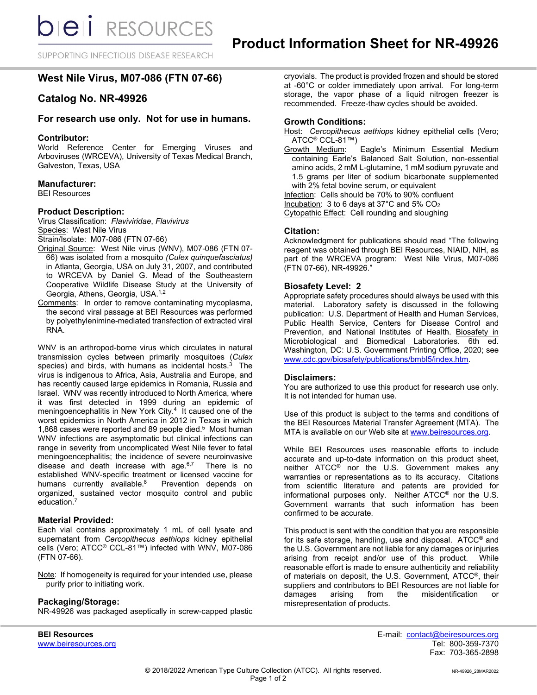SUPPORTING INFECTIOUS DISEASE RESEARCH

# **West Nile Virus, M07-086 (FTN 07-66)**

# **Catalog No. NR-49926**

## **For research use only. Not for use in humans.**

#### **Contributor:**

World Reference Center for Emerging Viruses and Arboviruses (WRCEVA), University of Texas Medical Branch, Galveston, Texas, USA

## **Manufacturer:**

BEI Resources

#### **Product Description:**

Virus Classification: *Flaviviridae*, *Flavivirus* Species: West Nile Virus

Strain/Isolate: M07-086 (FTN 07-66)

- Original Source: West Nile virus (WNV), M07-086 (FTN 07- 66) was isolated from a mosquito *(Culex quinquefasciatus)* in Atlanta, Georgia, USA on July 31, 2007, and contributed to WRCEVA by Daniel G. Mead of the Southeastern Cooperative Wildlife Disease Study at the University of Georgia, Athens, Georgia, USA.1,2
- Comments: In order to remove contaminating mycoplasma, the second viral passage at BEI Resources was performed by polyethylenimine-mediated transfection of extracted viral RNA.

WNV is an arthropod-borne virus which circulates in natural transmission cycles between primarily mosquitoes (*Culex*  species) and birds, with humans as incidental hosts. $3$  The virus is indigenous to Africa, Asia, Australia and Europe, and has recently caused large epidemics in Romania, Russia and Israel. WNV was recently introduced to North America, where it was first detected in 1999 during an epidemic of meningoencephalitis in New York City.<sup>4</sup> It caused one of the worst epidemics in North America in 2012 in Texas in which 1,868 cases were reported and 89 people died.<sup>5</sup> Most human WNV infections are asymptomatic but clinical infections can range in severity from uncomplicated West Nile fever to fatal meningoencephalitis; the incidence of severe neuroinvasive disease and death increase with age. $6,7$  There is no established WNV-specific treatment or licensed vaccine for humans currently available.<sup>8</sup> Prevention depends on organized, sustained vector mosquito control and public education.7

#### **Material Provided:**

Each vial contains approximately 1 mL of cell lysate and supernatant from *Cercopithecus aethiops* kidney epithelial cells (Vero; ATCC® CCL-81™) infected with WNV, M07-086 (FTN 07-66).

Note: If homogeneity is required for your intended use, please purify prior to initiating work.

#### **Packaging/Storage:**

NR-49926 was packaged aseptically in screw-capped plastic

www.beiresources.org

cryovials. The product is provided frozen and should be stored at -60°C or colder immediately upon arrival. For long-term storage, the vapor phase of a liquid nitrogen freezer is recommended. Freeze-thaw cycles should be avoided.

#### **Growth Conditions:**

Host: *Cercopithecus aethiops* kidney epithelial cells (Vero; ATCC<sup>®</sup> CCL-81™)<br>Growth Medium:

Eagle's Minimum Essential Medium containing Earle's Balanced Salt Solution, non-essential amino acids, 2 mM L-glutamine, 1 mM sodium pyruvate and 1.5 grams per liter of sodium bicarbonate supplemented with 2% fetal bovine serum, or equivalent

Infection: Cells should be 70% to 90% confluent

Incubation: 3 to 6 days at 37°C and 5% CO2

Cytopathic Effect: Cell rounding and sloughing

#### **Citation:**

Acknowledgment for publications should read "The following reagent was obtained through BEI Resources, NIAID, NIH, as part of the WRCEVA program: West Nile Virus, M07-086 (FTN 07-66), NR-49926."

#### **Biosafety Level: 2**

Appropriate safety procedures should always be used with this material. Laboratory safety is discussed in the following publication: U.S. Department of Health and Human Services, Public Health Service, Centers for Disease Control and Prevention, and National Institutes of Health. Biosafety in Microbiological and Biomedical Laboratories. 6th ed. Washington, DC: U.S. Government Printing Office, 2020; see [www.cdc.gov/biosafety/publications/bmbl5/index.htm.](http://www.cdc.gov/biosafety/publications/bmbl5/index.htm)

#### **Disclaimers:**

You are authorized to use this product for research use only. It is not intended for human use.

Use of this product is subject to the terms and conditions of the BEI Resources Material Transfer Agreement (MTA). The MTA is available on our Web site at [www.beiresources.org.](http://www.beiresources.org/)

While BEI Resources uses reasonable efforts to include accurate and up-to-date information on this product sheet, neither ATCC<sup>®</sup> nor the U.S. Government makes any warranties or representations as to its accuracy. Citations from scientific literature and patents are provided for informational purposes only. Neither ATCC® nor the U.S. Government warrants that such information has been confirmed to be accurate.

This product is sent with the condition that you are responsible for its safe storage, handling, use and disposal. ATCC® and the U.S. Government are not liable for any damages or injuries arising from receipt and/or use of this product. While reasonable effort is made to ensure authenticity and reliability of materials on deposit, the U.S. Government, ATCC®, their suppliers and contributors to BEI Resources are not liable for<br>damages arising from the misidentification or damages arising from the misidentification or misrepresentation of products.